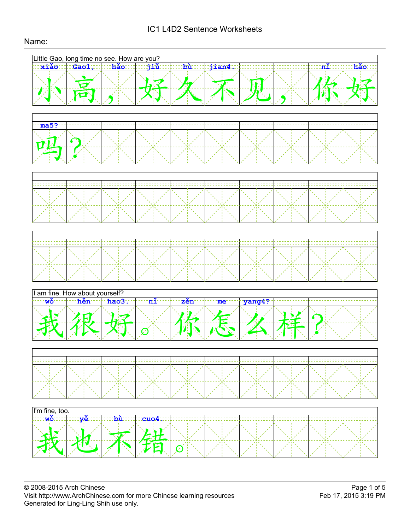# IC1 L4D2 Sentence Worksheets

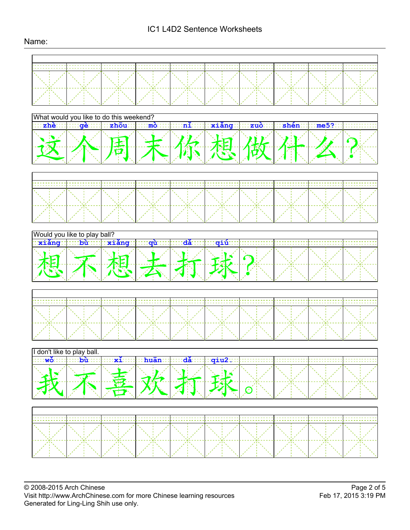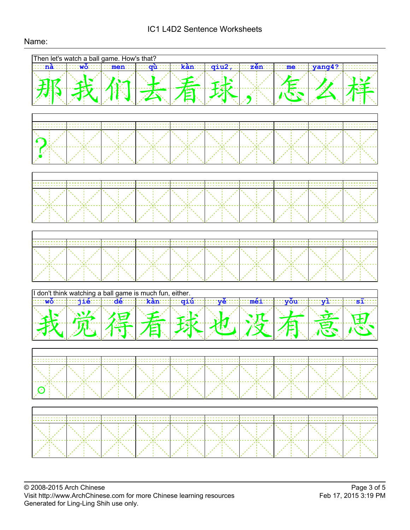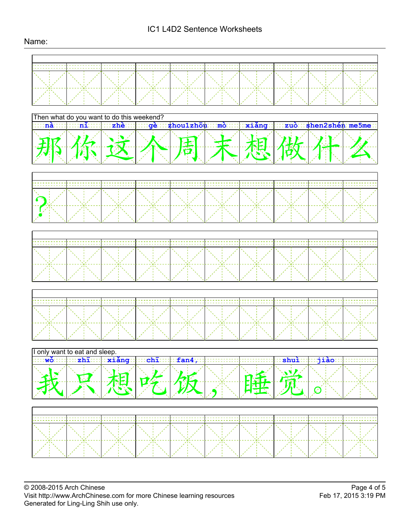